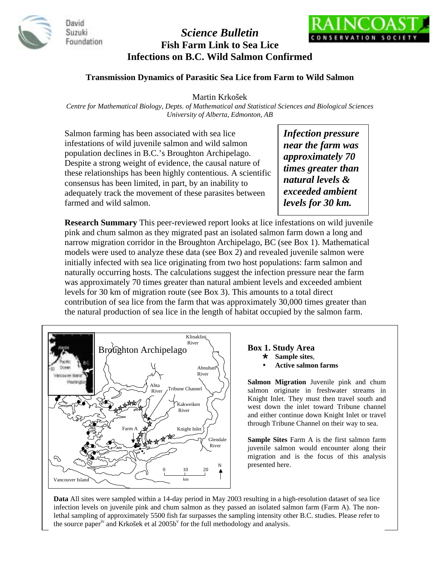

David Suzuki Foundation

# *Science Bulletin*  **Fish Farm Link to Sea Lice Infections on B.C. Wild Salmon Confirmed**



### **Transmission Dynamics of Parasitic Sea Lice from Farm to Wild Salmon**

Martin Krkošek

*Centre for Mathematical Biology, Depts. of Mathematical and Statistical Sciences and Biological Sciences University of Alberta, Edmonton, AB* 

Salmon farming has been associated with sea lice infestations of wild juvenile salmon and wild salmon population declines in B.C.'s Broughton Archipelago. Despite a strong weight of evidence, the causal nature of these relationships has been highly contentious. A scientific consensus has been limited, in part, by an inability to adequately track the movement of these parasites between farmed and wild salmon.

*Infection pressure near the farm was approximately 70 times greater than natural levels & exceeded ambient levels for 30 km.* 

**Research Summary** This peer-reviewed report looks at lice infestations on wild juvenile pink and chum salmon as they migrated past an isolated salmon farm down a long and narrow migration corridor in the Broughton Archipelago, BC (see Box 1). Mathematical models were used to analyze these data (see Box 2) and revealed juvenile salmon were initially infected with sea lice originating from two host populations: farm salmon and naturally occurring hosts. The calculations suggest the infection pressure near the farm was approximately 70 times greater than natural ambient levels and exceeded ambient levels for 30 km of migration route (see Box 3). This amounts to a total direct contribution of sea lice from the farm that was approximately 30,000 times greater than the natural production of sea lice in the length of habitat occupied by the salmon farm.



#### **Box 1. Study Area**

- **Sample sites**,
- **Active salmon farms**

**Salmon Migration** Juvenile pink and chum salmon originate in freshwater streams in Knight Inlet. They must then travel south and west down the inlet toward Tribune channel and either continue down Knight Inlet or travel through Tribune Channel on their way to sea.

**Sample Sites** Farm A is the first salmon farm juvenile salmon would encounter along their migration and is the focus of this analysis presented here.

**Data** All sites were sampled within a 14-day period in May 2003 resulting in a high-resolution dataset of sea lice infection levels on juvenile pink and chum salmon as they passed an isolated salmon farm (Farm A). The nonlethal sampling of approximately 5500 fish far surpasses the sampling intensity other B.C. studies. Please refer to the source paper<sup>iv</sup> and Krkošek et al 2005b<sup>v</sup> for the full methodology and analysis.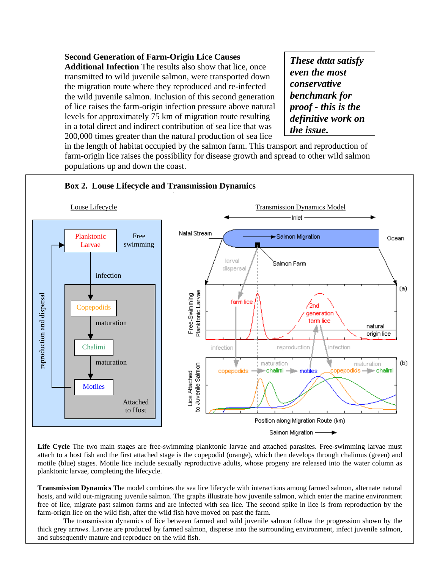# **Second Generation of Farm-Origin Lice Causes**

**Additional Infection** The results also show that lice, once transmitted to wild juvenile salmon, were transported down the migration route where they reproduced and re-infected the wild juvenile salmon. Inclusion of this second generation of lice raises the farm-origin infection pressure above natural levels for approximately 75 km of migration route resulting in a total direct and indirect contribution of sea lice that was 200,000 times greater than the natural production of sea lice

*These data satisfy even the most conservative benchmark for proof - this is the definitive work on the issue.*

in the length of habitat occupied by the salmon farm. This transport and reproduction of farm-origin lice raises the possibility for disease growth and spread to other wild salmon populations up and down the coast.



Life Cycle The two main stages are free-swimming planktonic larvae and attached parasites. Free-swimming larvae must attach to a host fish and the first attached stage is the copepodid (orange), which then develops through chalimus (green) and motile (blue) stages. Motile lice include sexually reproductive adults, whose progeny are released into the water column as planktonic larvae, completing the lifecycle.

**Transmission Dynamics** The model combines the sea lice lifecycle with interactions among farmed salmon, alternate natural hosts, and wild out-migrating juvenile salmon. The graphs illustrate how juvenile salmon, which enter the marine environment free of lice, migrate past salmon farms and are infected with sea lice. The second spike in lice is from reproduction by the farm-origin lice on the wild fish, after the wild fish have moved on past the farm.

The transmission dynamics of lice between farmed and wild juvenile salmon follow the progression shown by the thick grey arrows. Larvae are produced by farmed salmon, disperse into the surrounding environment, infect juvenile salmon, and subsequently mature and reproduce on the wild fish.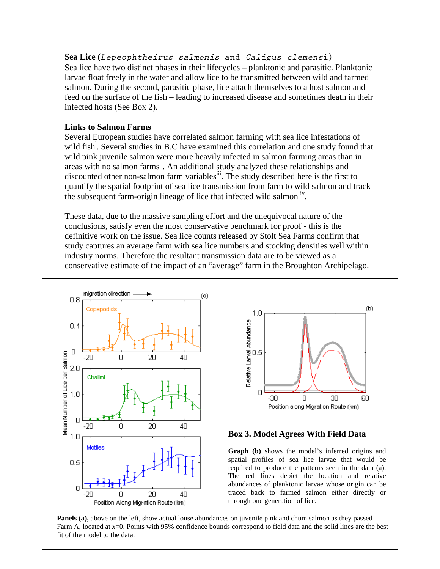**Sea Lice (***Lepeophtheirus salmonis* **and** *Caligus clemens***i)** Sea lice have two distinct phases in their lifecycles – planktonic and parasitic. Planktonic larvae float freely in the water and allow lice to be transmitted between wild and farmed salmon. During the second, parasitic phase, lice attach themselves to a host salmon and feed on the surface of the fish – leading to increased disease and sometimes death in their infected hosts (See Box 2).

### **Links to Salmon Farms**

Several European studies have correlated salmon farming with sea lice infestations of wild fish<sup>i</sup>. Several studies in B.C have examined this correlation and one study found that wild pink juvenile salmon were more heavily infected in salmon farming areas than in areas with no salmon farms<sup>ii</sup>. An additional study analyzed these relationships and discounted other non-salmon farm variables<sup>iii</sup>. The study described here is the first to quantify the spatial footprint of sea lice transmission from farm to wild salmon and track the subsequent farm-origin lineage of lice that infected wild salmon  $\dot{N}$ .

These data, due to the massive sampling effort and the unequivocal nature of the conclusions, satisfy even the most conservative benchmark for proof - this is the definitive work on the issue. Sea lice counts released by Stolt Sea Farms confirm that study captures an average farm with sea lice numbers and stocking densities well within industry norms. Therefore the resultant transmission data are to be viewed as a conservative estimate of the impact of an "average" farm in the Broughton Archipelago.





#### **Box 3. Model Agrees With Field Data**

**Graph (b)** shows the model's inferred origins and spatial profiles of sea lice larvae that would be required to produce the patterns seen in the data (a). The red lines depict the location and relative abundances of planktonic larvae whose origin can be traced back to farmed salmon either directly or through one generation of lice.

**Panels (a),** above on the left, show actual louse abundances on juvenile pink and chum salmon as they passed Farm A, located at *x*=0. Points with 95% confidence bounds correspond to field data and the solid lines are the best fit of the model to the data.